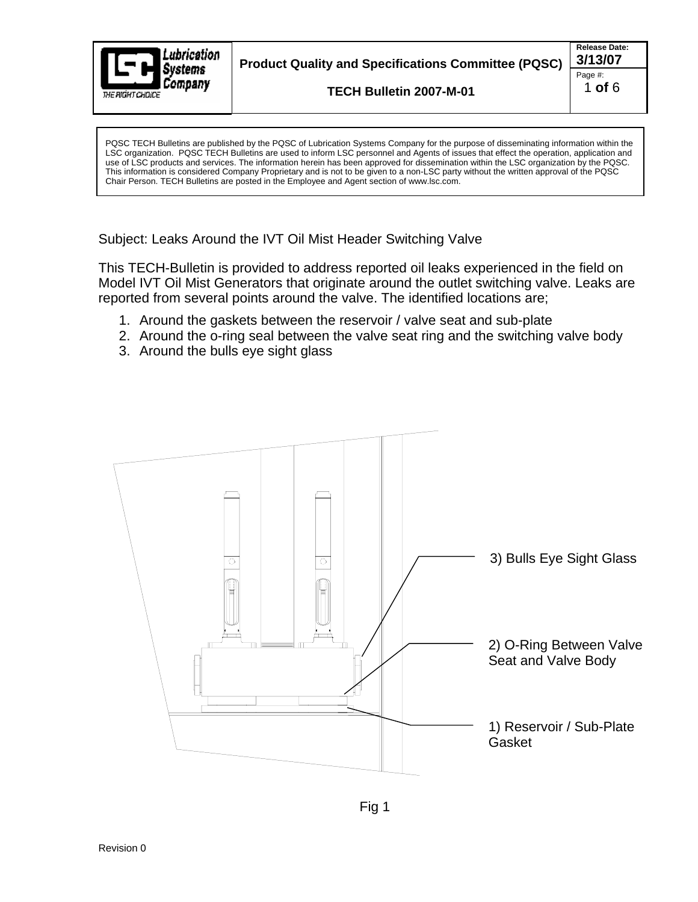

PQSC TECH Bulletins are published by the PQSC of Lubrication Systems Company for the purpose of disseminating information within the LSC organization. PQSC TECH Bulletins are used to inform LSC personnel and Agents of issues that effect the operation, application and use of LSC products and services. The information herein has been approved for dissemination within the LSC organization by the PQSC. This information is considered Company Proprietary and is not to be given to a non-LSC party without the written approval of the PQSC Chair Person. TECH Bulletins are posted in the Employee and Agent section of www.lsc.com.

Subject: Leaks Around the IVT Oil Mist Header Switching Valve

This TECH-Bulletin is provided to address reported oil leaks experienced in the field on Model IVT Oil Mist Generators that originate around the outlet switching valve. Leaks are reported from several points around the valve. The identified locations are;

- 1. Around the gaskets between the reservoir / valve seat and sub-plate
- 2. Around the o-ring seal between the valve seat ring and the switching valve body
- 3. Around the bulls eye sight glass

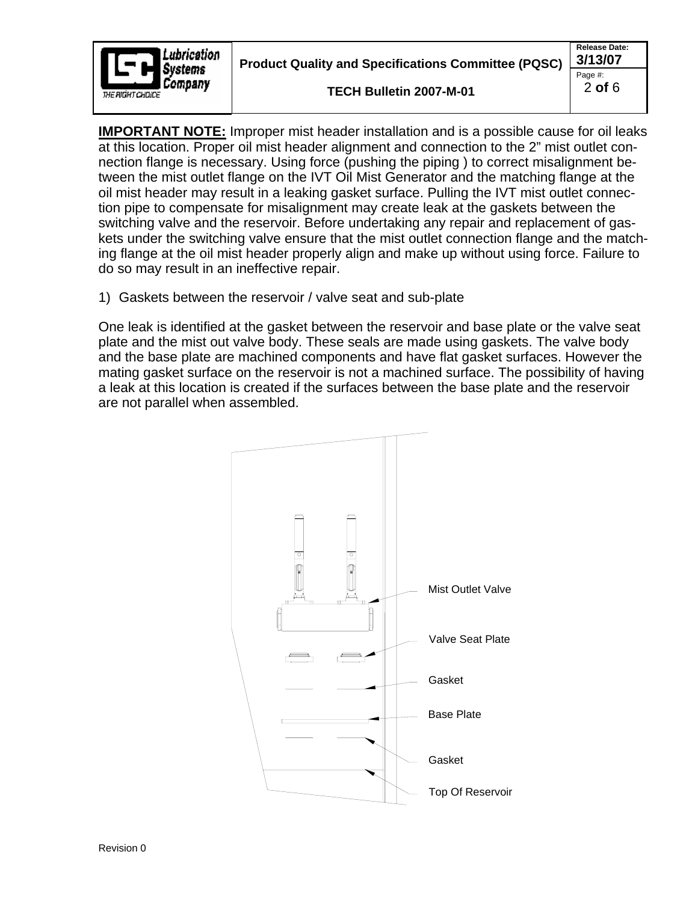

**Product Quality and Specifications Committee (PQSC) 3/13/07**

**TECH Bulletin 2007-M-01** 

**IMPORTANT NOTE:** Improper mist header installation and is a possible cause for oil leaks at this location. Proper oil mist header alignment and connection to the 2" mist outlet connection flange is necessary. Using force (pushing the piping ) to correct misalignment between the mist outlet flange on the IVT Oil Mist Generator and the matching flange at the oil mist header may result in a leaking gasket surface. Pulling the IVT mist outlet connection pipe to compensate for misalignment may create leak at the gaskets between the switching valve and the reservoir. Before undertaking any repair and replacement of gaskets under the switching valve ensure that the mist outlet connection flange and the matching flange at the oil mist header properly align and make up without using force. Failure to do so may result in an ineffective repair.

1) Gaskets between the reservoir / valve seat and sub-plate

One leak is identified at the gasket between the reservoir and base plate or the valve seat plate and the mist out valve body. These seals are made using gaskets. The valve body and the base plate are machined components and have flat gasket surfaces. However the mating gasket surface on the reservoir is not a machined surface. The possibility of having a leak at this location is created if the surfaces between the base plate and the reservoir are not parallel when assembled.

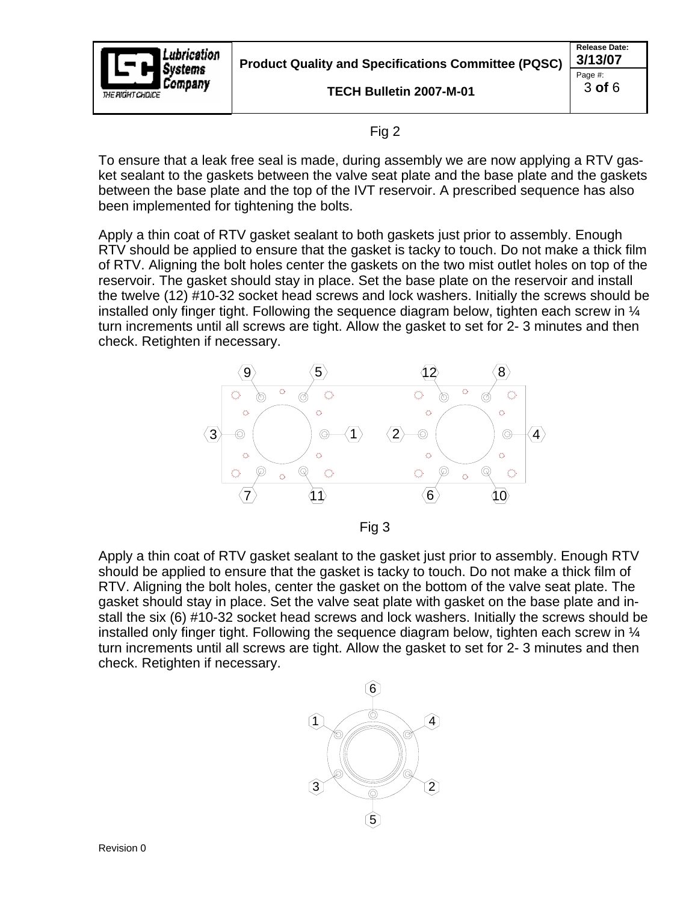

Page #: 3 **of** 6

## Fig 2

To ensure that a leak free seal is made, during assembly we are now applying a RTV gasket sealant to the gaskets between the valve seat plate and the base plate and the gaskets between the base plate and the top of the IVT reservoir. A prescribed sequence has also been implemented for tightening the bolts.

Apply a thin coat of RTV gasket sealant to both gaskets just prior to assembly. Enough RTV should be applied to ensure that the gasket is tacky to touch. Do not make a thick film of RTV. Aligning the bolt holes center the gaskets on the two mist outlet holes on top of the reservoir. The gasket should stay in place. Set the base plate on the reservoir and install the twelve (12) #10-32 socket head screws and lock washers. Initially the screws should be installed only finger tight. Following the sequence diagram below, tighten each screw in  $\mathcal{U}$ turn increments until all screws are tight. Allow the gasket to set for 2- 3 minutes and then check. Retighten if necessary.



Fig 3

Apply a thin coat of RTV gasket sealant to the gasket just prior to assembly. Enough RTV should be applied to ensure that the gasket is tacky to touch. Do not make a thick film of RTV. Aligning the bolt holes, center the gasket on the bottom of the valve seat plate. The gasket should stay in place. Set the valve seat plate with gasket on the base plate and install the six (6) #10-32 socket head screws and lock washers. Initially the screws should be installed only finger tight. Following the sequence diagram below, tighten each screw in  $\frac{1}{4}$ turn increments until all screws are tight. Allow the gasket to set for 2- 3 minutes and then check. Retighten if necessary.

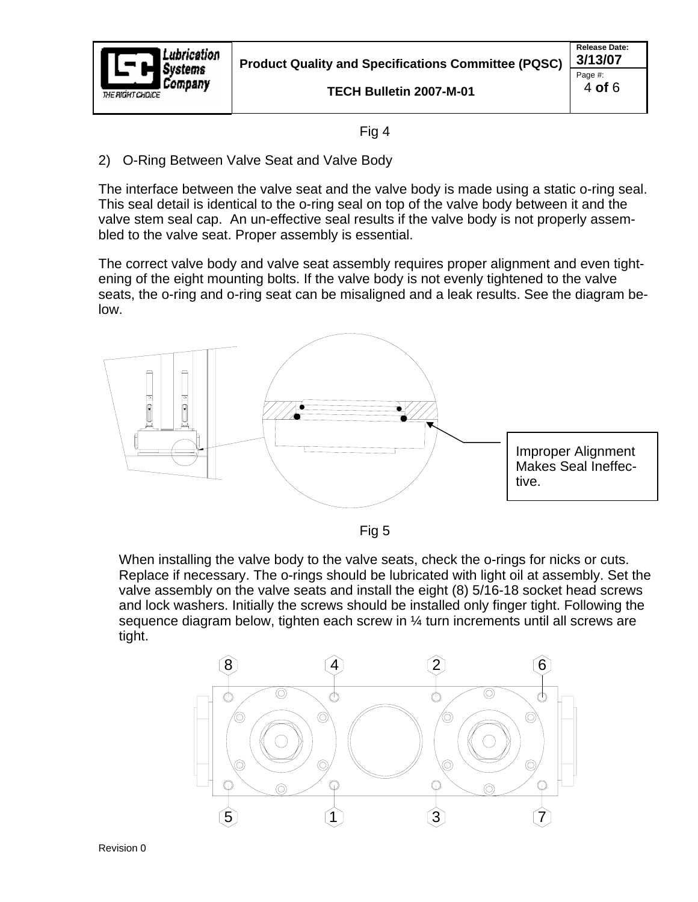

**TECH Bulletin 2007-M-01** 

**Release Date:**  Page #: 4 **of** 6

## Fig 4

2) O-Ring Between Valve Seat and Valve Body

The interface between the valve seat and the valve body is made using a static o-ring seal. This seal detail is identical to the o-ring seal on top of the valve body between it and the valve stem seal cap. An un-effective seal results if the valve body is not properly assembled to the valve seat. Proper assembly is essential.

The correct valve body and valve seat assembly requires proper alignment and even tightening of the eight mounting bolts. If the valve body is not evenly tightened to the valve seats, the o-ring and o-ring seat can be misaligned and a leak results. See the diagram below.



Fig 5

When installing the valve body to the valve seats, check the o-rings for nicks or cuts. Replace if necessary. The o-rings should be lubricated with light oil at assembly. Set the valve assembly on the valve seats and install the eight (8) 5/16-18 socket head screws and lock washers. Initially the screws should be installed only finger tight. Following the sequence diagram below, tighten each screw in  $\frac{1}{4}$  turn increments until all screws are tight.



Revision 0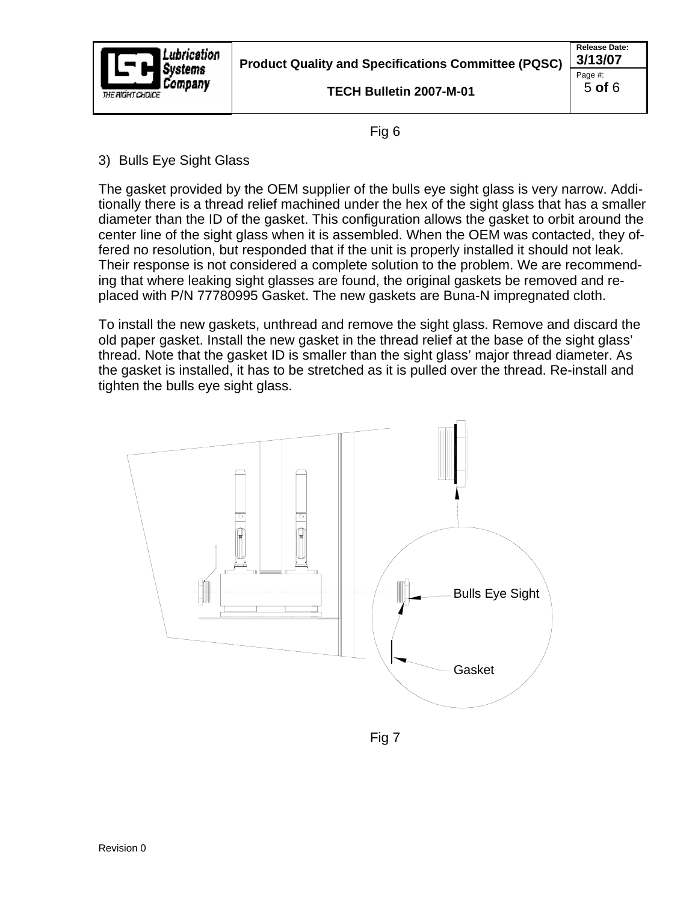

**TECH Bulletin 2007-M-01** 

Fig 6

3) Bulls Eye Sight Glass

The gasket provided by the OEM supplier of the bulls eye sight glass is very narrow. Additionally there is a thread relief machined under the hex of the sight glass that has a smaller diameter than the ID of the gasket. This configuration allows the gasket to orbit around the center line of the sight glass when it is assembled. When the OEM was contacted, they offered no resolution, but responded that if the unit is properly installed it should not leak. Their response is not considered a complete solution to the problem. We are recommending that where leaking sight glasses are found, the original gaskets be removed and replaced with P/N 77780995 Gasket. The new gaskets are Buna-N impregnated cloth.

To install the new gaskets, unthread and remove the sight glass. Remove and discard the old paper gasket. Install the new gasket in the thread relief at the base of the sight glass' thread. Note that the gasket ID is smaller than the sight glass' major thread diameter. As the gasket is installed, it has to be stretched as it is pulled over the thread. Re-install and tighten the bulls eye sight glass.



Fig 7